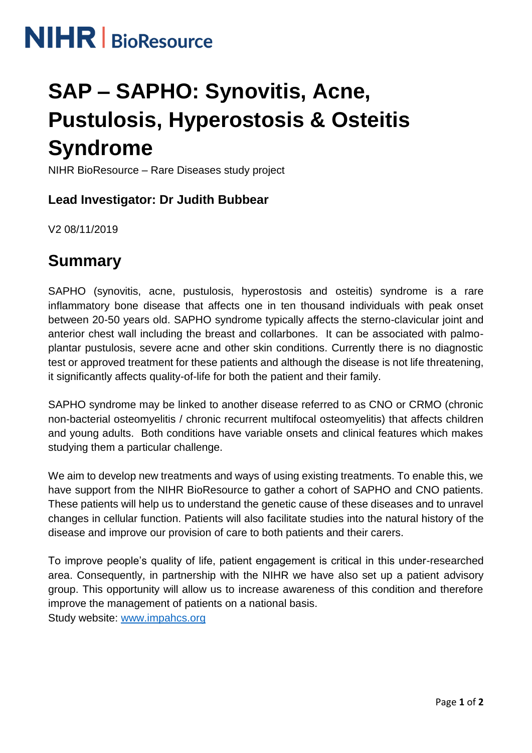

# **SAP – SAPHO: Synovitis, Acne, Pustulosis, Hyperostosis & Osteitis Syndrome**

NIHR BioResource – Rare Diseases study project

#### **Lead Investigator: Dr Judith Bubbear**

V2 08/11/2019

## **Summary**

SAPHO (synovitis, acne, pustulosis, hyperostosis and osteitis) syndrome is a rare inflammatory bone disease that affects one in ten thousand individuals with peak onset between 20-50 years old. SAPHO syndrome typically affects the sterno-clavicular joint and anterior chest wall including the breast and collarbones. It can be associated with palmoplantar pustulosis, severe acne and other skin conditions. Currently there is no diagnostic test or approved treatment for these patients and although the disease is not life threatening, it significantly affects quality-of-life for both the patient and their family.

SAPHO syndrome may be linked to another disease referred to as CNO or CRMO (chronic non-bacterial osteomyelitis / chronic recurrent multifocal osteomyelitis) that affects children and young adults. Both conditions have variable onsets and clinical features which makes studying them a particular challenge.

We aim to develop new treatments and ways of using existing treatments. To enable this, we have support from the NIHR BioResource to gather a cohort of SAPHO and CNO patients. These patients will help us to understand the genetic cause of these diseases and to unravel changes in cellular function. Patients will also facilitate studies into the natural history of the disease and improve our provision of care to both patients and their carers.

To improve people's quality of life, patient engagement is critical in this under-researched area. Consequently, in partnership with the NIHR we have also set up a patient advisory group. This opportunity will allow us to increase awareness of this condition and therefore improve the management of patients on a national basis.

Study website: [www.impahcs.org](http://www.impahcs.org/)